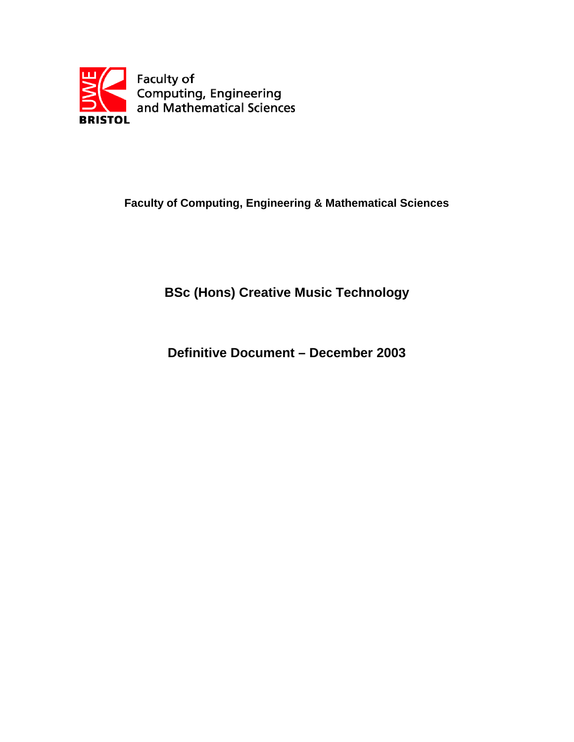

## **Faculty of Computing, Engineering & Mathematical Sciences**

# **BSc (Hons) Creative Music Technology**

**Definitive Document – December 2003**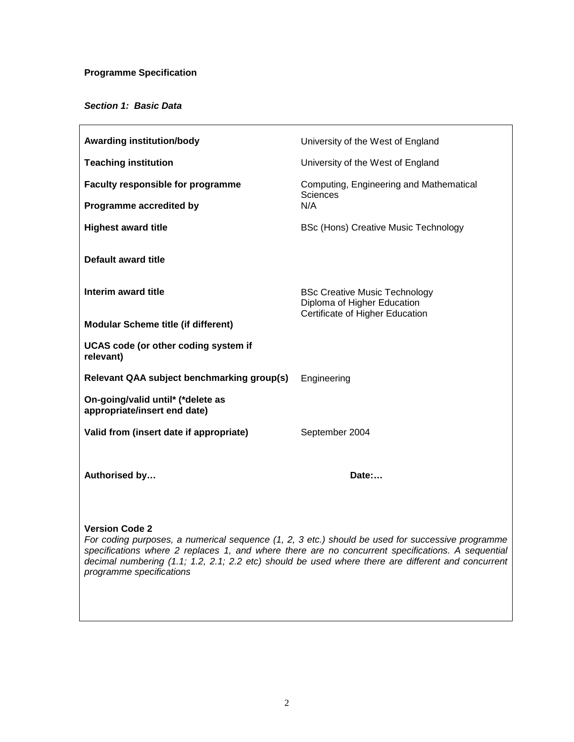## **Programme Specification**

## **Section 1: Basic Data**

| <b>Awarding institution/body</b>                                  | University of the West of England                                                                      |  |
|-------------------------------------------------------------------|--------------------------------------------------------------------------------------------------------|--|
| <b>Teaching institution</b>                                       | University of the West of England                                                                      |  |
| <b>Faculty responsible for programme</b>                          | Computing, Engineering and Mathematical<br>Sciences                                                    |  |
| Programme accredited by                                           | N/A                                                                                                    |  |
| <b>Highest award title</b>                                        | <b>BSc (Hons) Creative Music Technology</b>                                                            |  |
| <b>Default award title</b>                                        |                                                                                                        |  |
| Interim award title                                               | <b>BSc Creative Music Technology</b><br>Diploma of Higher Education<br>Certificate of Higher Education |  |
| <b>Modular Scheme title (if different)</b>                        |                                                                                                        |  |
| UCAS code (or other coding system if<br>relevant)                 |                                                                                                        |  |
| Relevant QAA subject benchmarking group(s)                        | Engineering                                                                                            |  |
| On-going/valid until* (*delete as<br>appropriate/insert end date) |                                                                                                        |  |
| Valid from (insert date if appropriate)                           | September 2004                                                                                         |  |
|                                                                   |                                                                                                        |  |
| Authorised by                                                     | Date:                                                                                                  |  |
|                                                                   |                                                                                                        |  |
| <b>Version Code 2</b>                                             | For coding purposes, a numerical sequence (1, 2, 3 etc.) should be used for successive programme       |  |

specifications where 2 replaces 1, and where there are no concurrent specifications. A sequential decimal numbering (1.1; 1.2, 2.1; 2.2 etc) should be used where there are different and concurrent programme specifications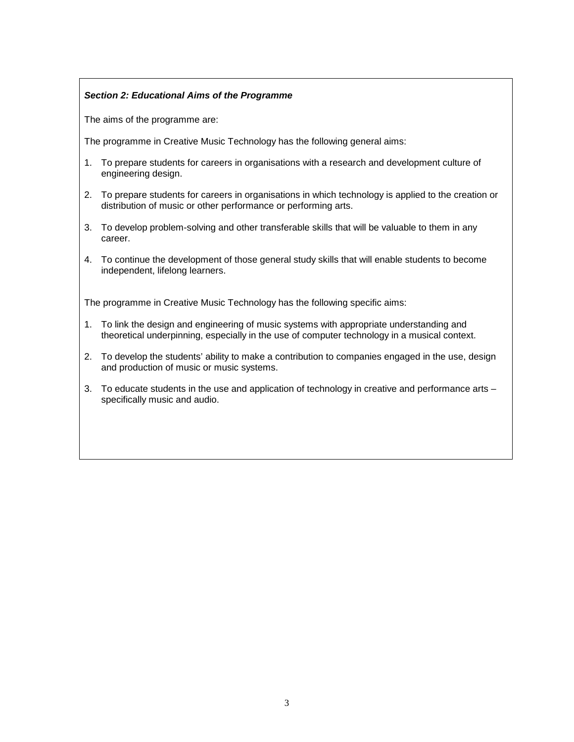## **Section 2: Educational Aims of the Programme**

The aims of the programme are:

The programme in Creative Music Technology has the following general aims:

- 1. To prepare students for careers in organisations with a research and development culture of engineering design.
- 2. To prepare students for careers in organisations in which technology is applied to the creation or distribution of music or other performance or performing arts.
- 3. To develop problem-solving and other transferable skills that will be valuable to them in any career.
- 4. To continue the development of those general study skills that will enable students to become independent, lifelong learners.

The programme in Creative Music Technology has the following specific aims:

- 1. To link the design and engineering of music systems with appropriate understanding and theoretical underpinning, especially in the use of computer technology in a musical context.
- 2. To develop the students' ability to make a contribution to companies engaged in the use, design and production of music or music systems.
- 3. To educate students in the use and application of technology in creative and performance arts specifically music and audio.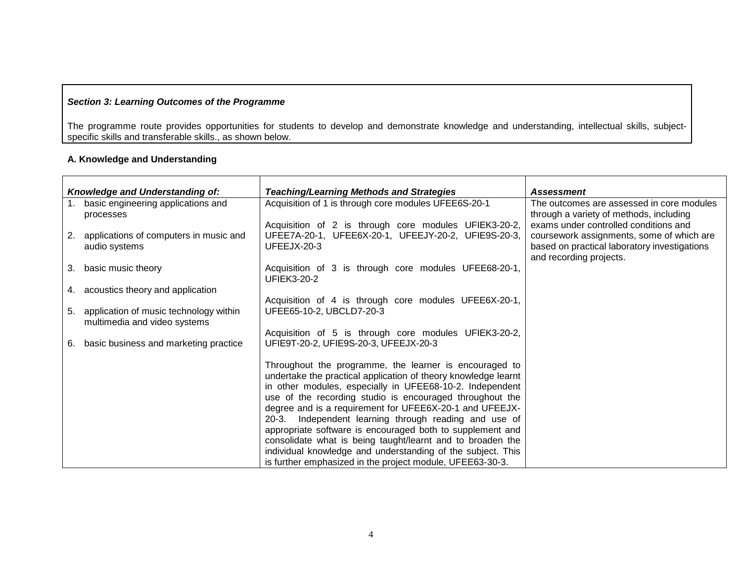## **Section 3: Learning Outcomes of the Programme**

The programme route provides opportunities for students to develop and demonstrate knowledge and understanding, intellectual skills, subjectspecific skills and transferable skills., as shown below.

#### **A. Knowledge and Understanding**

|    | Knowledge and Understanding of:                                        | <b>Teaching/Learning Methods and Strategies</b>                                                                                                                                                                                                                                                                                                                                                                                                                                                                                                                                                                                  | <b>Assessment</b>                                                                                                                                             |
|----|------------------------------------------------------------------------|----------------------------------------------------------------------------------------------------------------------------------------------------------------------------------------------------------------------------------------------------------------------------------------------------------------------------------------------------------------------------------------------------------------------------------------------------------------------------------------------------------------------------------------------------------------------------------------------------------------------------------|---------------------------------------------------------------------------------------------------------------------------------------------------------------|
|    | basic engineering applications and<br>processes                        | Acquisition of 1 is through core modules UFEE6S-20-1                                                                                                                                                                                                                                                                                                                                                                                                                                                                                                                                                                             | The outcomes are assessed in core modules<br>through a variety of methods, including                                                                          |
| 2. | applications of computers in music and<br>audio systems                | Acquisition of 2 is through core modules UFIEK3-20-2,<br>UFEE7A-20-1, UFEE6X-20-1, UFEEJY-20-2, UFIE9S-20-3,<br>UFEEJX-20-3                                                                                                                                                                                                                                                                                                                                                                                                                                                                                                      | exams under controlled conditions and<br>coursework assignments, some of which are<br>based on practical laboratory investigations<br>and recording projects. |
| 3. | basic music theory                                                     | Acquisition of 3 is through core modules UFEE68-20-1,<br><b>UFIEK3-20-2</b>                                                                                                                                                                                                                                                                                                                                                                                                                                                                                                                                                      |                                                                                                                                                               |
|    | 4. acoustics theory and application                                    |                                                                                                                                                                                                                                                                                                                                                                                                                                                                                                                                                                                                                                  |                                                                                                                                                               |
| 5. | application of music technology within<br>multimedia and video systems | Acquisition of 4 is through core modules UFEE6X-20-1,<br>UFEE65-10-2, UBCLD7-20-3                                                                                                                                                                                                                                                                                                                                                                                                                                                                                                                                                |                                                                                                                                                               |
| 6. | basic business and marketing practice                                  | Acquisition of 5 is through core modules UFIEK3-20-2,<br>UFIE9T-20-2, UFIE9S-20-3, UFEEJX-20-3                                                                                                                                                                                                                                                                                                                                                                                                                                                                                                                                   |                                                                                                                                                               |
|    |                                                                        | Throughout the programme, the learner is encouraged to<br>undertake the practical application of theory knowledge learnt<br>in other modules, especially in UFEE68-10-2. Independent<br>use of the recording studio is encouraged throughout the<br>degree and is a requirement for UFEE6X-20-1 and UFEEJX-<br>Independent learning through reading and use of<br>$20-3.$<br>appropriate software is encouraged both to supplement and<br>consolidate what is being taught/learnt and to broaden the<br>individual knowledge and understanding of the subject. This<br>is further emphasized in the project module, UFEE63-30-3. |                                                                                                                                                               |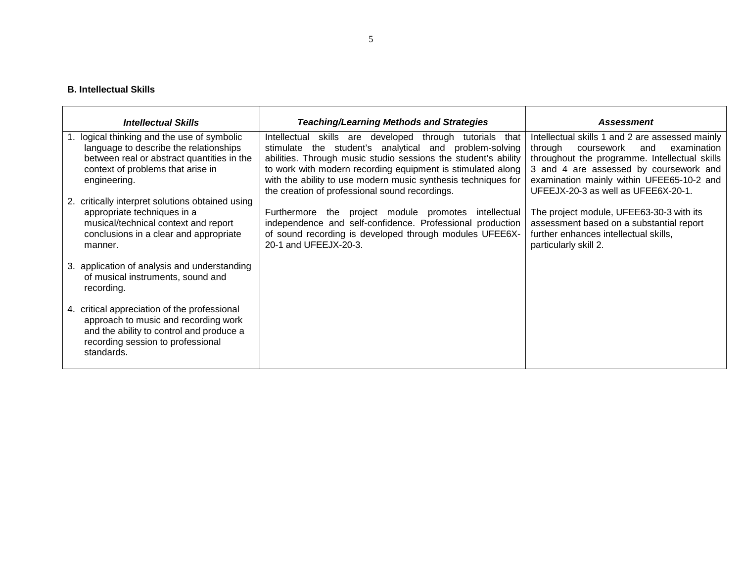#### **B. Intellectual Skills**

| <b>Intellectual Skills</b>                                                                                                                                                               | <b>Teaching/Learning Methods and Strategies</b>                                                                                                                                                                                                                                                                                                                              | <b>Assessment</b>                                                                                                                                                                                                                                                             |
|------------------------------------------------------------------------------------------------------------------------------------------------------------------------------------------|------------------------------------------------------------------------------------------------------------------------------------------------------------------------------------------------------------------------------------------------------------------------------------------------------------------------------------------------------------------------------|-------------------------------------------------------------------------------------------------------------------------------------------------------------------------------------------------------------------------------------------------------------------------------|
| 1. logical thinking and the use of symbolic<br>language to describe the relationships<br>between real or abstract quantities in the<br>context of problems that arise in<br>engineering. | Intellectual<br>skills are developed<br>through tutorials that<br>stimulate the student's analytical and problem-solving<br>abilities. Through music studio sessions the student's ability<br>to work with modern recording equipment is stimulated along<br>with the ability to use modern music synthesis techniques for<br>the creation of professional sound recordings. | Intellectual skills 1 and 2 are assessed mainly<br>coursework<br>and<br>through<br>examination<br>throughout the programme. Intellectual skills<br>3 and 4 are assessed by coursework and<br>examination mainly within UFEE65-10-2 and<br>UFEEJX-20-3 as well as UFEE6X-20-1. |
| 2. critically interpret solutions obtained using<br>appropriate techniques in a<br>musical/technical context and report<br>conclusions in a clear and appropriate<br>manner.             | the project module promotes intellectual<br>Furthermore<br>independence and self-confidence. Professional production<br>of sound recording is developed through modules UFEE6X-<br>20-1 and UFEEJX-20-3.                                                                                                                                                                     | The project module, UFEE63-30-3 with its<br>assessment based on a substantial report<br>further enhances intellectual skills,<br>particularly skill 2.                                                                                                                        |
| 3. application of analysis and understanding<br>of musical instruments, sound and<br>recording.                                                                                          |                                                                                                                                                                                                                                                                                                                                                                              |                                                                                                                                                                                                                                                                               |
| 4. critical appreciation of the professional<br>approach to music and recording work<br>and the ability to control and produce a<br>recording session to professional<br>standards.      |                                                                                                                                                                                                                                                                                                                                                                              |                                                                                                                                                                                                                                                                               |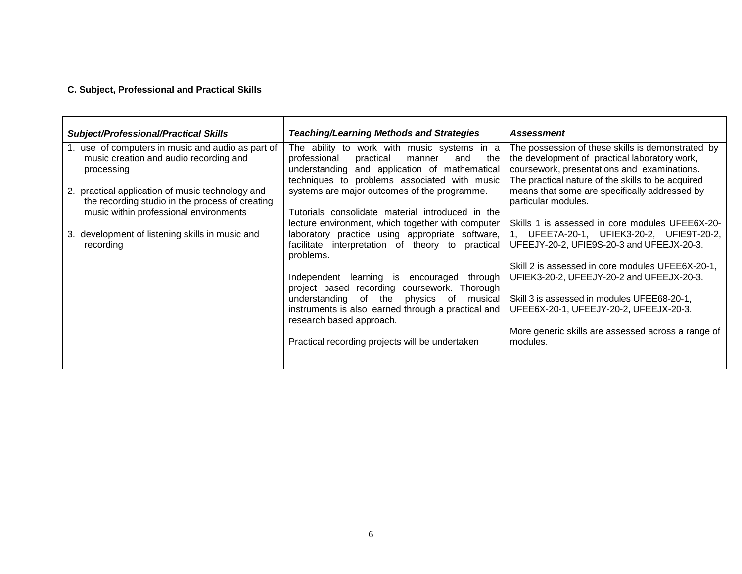#### **C. Subject, Professional and Practical Skills**

| <b>Subject/Professional/Practical Skills</b>                                                                                                  | <b>Teaching/Learning Methods and Strategies</b>                                                                                                                                                   | Assessment                                                                                                                                                                                             |
|-----------------------------------------------------------------------------------------------------------------------------------------------|---------------------------------------------------------------------------------------------------------------------------------------------------------------------------------------------------|--------------------------------------------------------------------------------------------------------------------------------------------------------------------------------------------------------|
| 1. use of computers in music and audio as part of<br>music creation and audio recording and<br>processing                                     | The ability to work with music systems in a<br>professional<br>practical<br>and<br>the<br>manner<br>understanding and application of mathematical<br>techniques to problems associated with music | The possession of these skills is demonstrated by<br>the development of practical laboratory work,<br>coursework, presentations and examinations.<br>The practical nature of the skills to be acquired |
| 2. practical application of music technology and<br>the recording studio in the process of creating<br>music within professional environments | systems are major outcomes of the programme.<br>Tutorials consolidate material introduced in the                                                                                                  | means that some are specifically addressed by<br>particular modules.                                                                                                                                   |
| 3. development of listening skills in music and<br>recording                                                                                  | lecture environment, which together with computer<br>laboratory practice using appropriate software,<br>facilitate interpretation of theory to<br>practical                                       | Skills 1 is assessed in core modules UFEE6X-20-<br>1, UFEE7A-20-1, UFIEK3-20-2, UFIE9T-20-2,<br>UFEEJY-20-2, UFIE9S-20-3 and UFEEJX-20-3.                                                              |
|                                                                                                                                               | problems.<br>Independent learning is encouraged through                                                                                                                                           | Skill 2 is assessed in core modules UFEE6X-20-1,<br>UFIEK3-20-2, UFEEJY-20-2 and UFEEJX-20-3.                                                                                                          |
|                                                                                                                                               | project based recording coursework. Thorough<br>understanding of the<br>physics<br>of<br>musical<br>instruments is also learned through a practical and<br>research based approach.               | Skill 3 is assessed in modules UFEE68-20-1,<br>UFEE6X-20-1, UFEEJY-20-2, UFEEJX-20-3.                                                                                                                  |
|                                                                                                                                               | Practical recording projects will be undertaken                                                                                                                                                   | More generic skills are assessed across a range of<br>modules.                                                                                                                                         |
|                                                                                                                                               |                                                                                                                                                                                                   |                                                                                                                                                                                                        |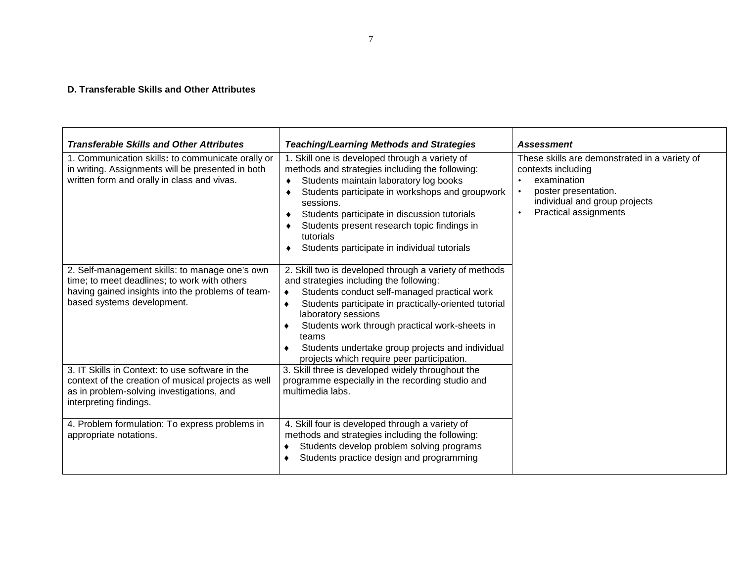#### **D. Transferable Skills and Other Attributes**

| <b>Transferable Skills and Other Attributes</b>                                                                                                                                   | <b>Teaching/Learning Methods and Strategies</b>                                                                                                                                                                                                                                                                                                                                                | <b>Assessment</b>                                                                                                                                                    |
|-----------------------------------------------------------------------------------------------------------------------------------------------------------------------------------|------------------------------------------------------------------------------------------------------------------------------------------------------------------------------------------------------------------------------------------------------------------------------------------------------------------------------------------------------------------------------------------------|----------------------------------------------------------------------------------------------------------------------------------------------------------------------|
| 1. Communication skills: to communicate orally or<br>in writing. Assignments will be presented in both<br>written form and orally in class and vivas.                             | 1. Skill one is developed through a variety of<br>methods and strategies including the following:<br>Students maintain laboratory log books<br>٠<br>Students participate in workshops and groupwork<br>sessions.<br>Students participate in discussion tutorials<br>Students present research topic findings in<br>tutorials<br>Students participate in individual tutorials                   | These skills are demonstrated in a variety of<br>contexts including<br>examination<br>poster presentation.<br>individual and group projects<br>Practical assignments |
| 2. Self-management skills: to manage one's own<br>time; to meet deadlines; to work with others<br>having gained insights into the problems of team-<br>based systems development. | 2. Skill two is developed through a variety of methods<br>and strategies including the following:<br>Students conduct self-managed practical work<br>Students participate in practically-oriented tutorial<br>laboratory sessions<br>Students work through practical work-sheets in<br>teams<br>Students undertake group projects and individual<br>projects which require peer participation. |                                                                                                                                                                      |
| 3. IT Skills in Context: to use software in the<br>context of the creation of musical projects as well<br>as in problem-solving investigations, and<br>interpreting findings.     | 3. Skill three is developed widely throughout the<br>programme especially in the recording studio and<br>multimedia labs.                                                                                                                                                                                                                                                                      |                                                                                                                                                                      |
| 4. Problem formulation: To express problems in<br>appropriate notations.                                                                                                          | 4. Skill four is developed through a variety of<br>methods and strategies including the following:<br>Students develop problem solving programs<br>Students practice design and programming                                                                                                                                                                                                    |                                                                                                                                                                      |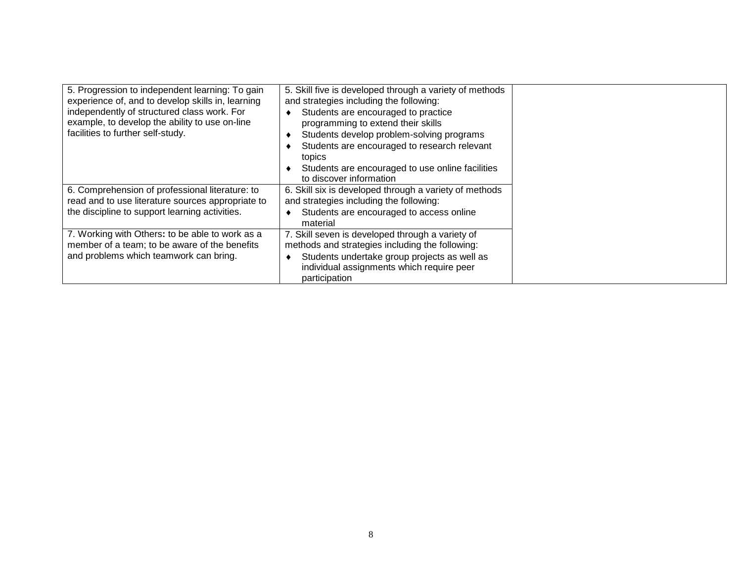| 5. Progression to independent learning: To gain<br>experience of, and to develop skills in, learning<br>independently of structured class work. For<br>example, to develop the ability to use on-line<br>facilities to further self-study. | 5. Skill five is developed through a variety of methods<br>and strategies including the following:<br>Students are encouraged to practice<br>programming to extend their skills<br>Students develop problem-solving programs<br>Students are encouraged to research relevant<br>topics<br>Students are encouraged to use online facilities<br>to discover information |  |
|--------------------------------------------------------------------------------------------------------------------------------------------------------------------------------------------------------------------------------------------|-----------------------------------------------------------------------------------------------------------------------------------------------------------------------------------------------------------------------------------------------------------------------------------------------------------------------------------------------------------------------|--|
| 6. Comprehension of professional literature: to<br>read and to use literature sources appropriate to                                                                                                                                       | 6. Skill six is developed through a variety of methods<br>and strategies including the following:                                                                                                                                                                                                                                                                     |  |
| the discipline to support learning activities.                                                                                                                                                                                             | Students are encouraged to access online<br>material                                                                                                                                                                                                                                                                                                                  |  |
| 7. Working with Others: to be able to work as a<br>member of a team; to be aware of the benefits<br>and problems which teamwork can bring.                                                                                                 | 7. Skill seven is developed through a variety of<br>methods and strategies including the following:<br>Students undertake group projects as well as<br>individual assignments which require peer<br>participation                                                                                                                                                     |  |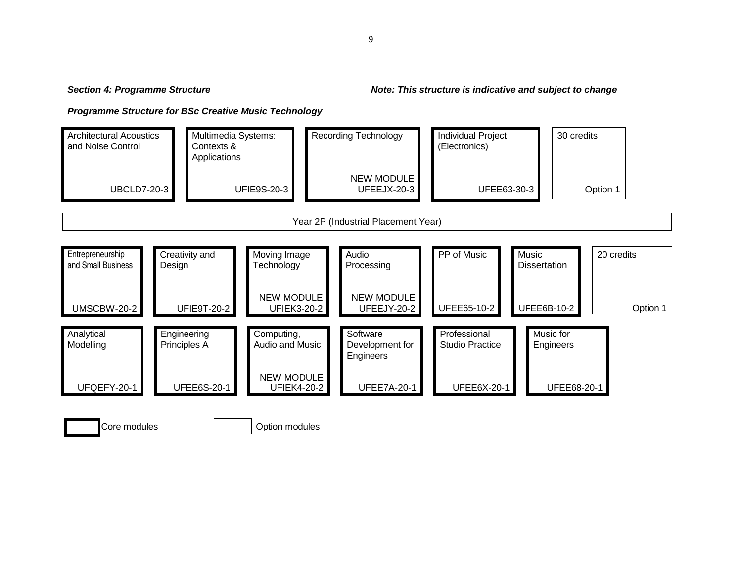#### **4: Programme Structure Note: This structure is indicative and subject to change**

**Programme Structure for BSc Creative Music Technology**

**Section 4: Programme Structure** 



Option modules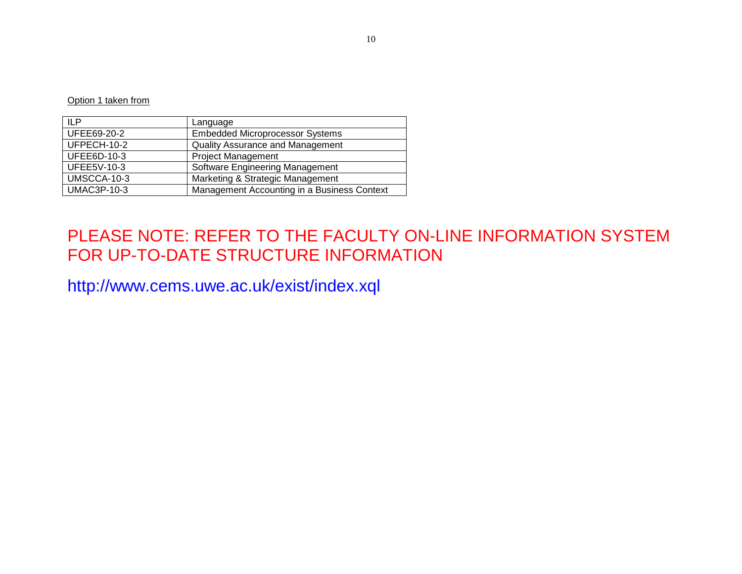Option 1 taken from

| ILP                | Language                                    |
|--------------------|---------------------------------------------|
| UFEE69-20-2        | <b>Embedded Microprocessor Systems</b>      |
| UFPECH-10-2        | <b>Quality Assurance and Management</b>     |
| UFEE6D-10-3        | <b>Project Management</b>                   |
| UFEE5V-10-3        | Software Engineering Management             |
| UMSCCA-10-3        | Marketing & Strategic Management            |
| <b>UMAC3P-10-3</b> | Management Accounting in a Business Context |

# PLEASE NOTE: REFER TO THE FACULTY ON-LINE INFORMATION SYSTEM FOR UP-TO-DATE STRUCTURE INFORMATION

http://www.cems.uwe.ac.uk/exist/index.xql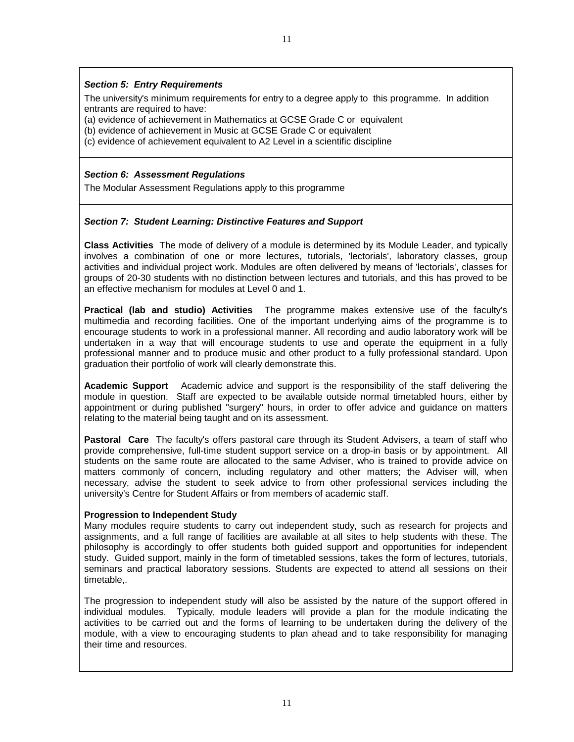### **Section 5: Entry Requirements**

The university's minimum requirements for entry to a degree apply to this programme. In addition entrants are required to have:

(a) evidence of achievement in Mathematics at GCSE Grade C or equivalent

(b) evidence of achievement in Music at GCSE Grade C or equivalent

(c) evidence of achievement equivalent to A2 Level in a scientific discipline

#### **Section 6: Assessment Regulations**

The Modular Assessment Regulations apply to this programme

## **Section 7: Student Learning: Distinctive Features and Support**

**Class Activities** The mode of delivery of a module is determined by its Module Leader, and typically involves a combination of one or more lectures, tutorials, 'lectorials', laboratory classes, group activities and individual project work. Modules are often delivered by means of 'lectorials', classes for groups of 20-30 students with no distinction between lectures and tutorials, and this has proved to be an effective mechanism for modules at Level 0 and 1.

**Practical (lab and studio) Activities** The programme makes extensive use of the faculty's multimedia and recording facilities. One of the important underlying aims of the programme is to encourage students to work in a professional manner. All recording and audio laboratory work will be undertaken in a way that will encourage students to use and operate the equipment in a fully professional manner and to produce music and other product to a fully professional standard. Upon graduation their portfolio of work will clearly demonstrate this.

**Academic Support** Academic advice and support is the responsibility of the staff delivering the module in question. Staff are expected to be available outside normal timetabled hours, either by appointment or during published "surgery" hours, in order to offer advice and guidance on matters relating to the material being taught and on its assessment.

**Pastoral Care** The faculty's offers pastoral care through its Student Advisers, a team of staff who provide comprehensive, full-time student support service on a drop-in basis or by appointment. All students on the same route are allocated to the same Adviser, who is trained to provide advice on matters commonly of concern, including regulatory and other matters; the Adviser will, when necessary, advise the student to seek advice to from other professional services including the university's Centre for Student Affairs or from members of academic staff.

#### **Progression to Independent Study**

Many modules require students to carry out independent study, such as research for projects and assignments, and a full range of facilities are available at all sites to help students with these. The philosophy is accordingly to offer students both guided support and opportunities for independent study. Guided support, mainly in the form of timetabled sessions, takes the form of lectures, tutorials, seminars and practical laboratory sessions. Students are expected to attend all sessions on their timetable,.

The progression to independent study will also be assisted by the nature of the support offered in individual modules. Typically, module leaders will provide a plan for the module indicating the activities to be carried out and the forms of learning to be undertaken during the delivery of the module, with a view to encouraging students to plan ahead and to take responsibility for managing their time and resources.